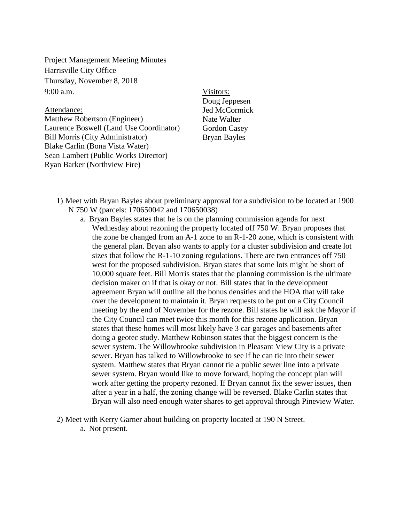Project Management Meeting Minutes Harrisville City Office Thursday, November 8, 2018 9:00 a.m.

Attendance: Matthew Robertson (Engineer) Laurence Boswell (Land Use Coordinator) Bill Morris (City Administrator) Blake Carlin (Bona Vista Water) Sean Lambert (Public Works Director) Ryan Barker (Northview Fire)

Visitors: Doug Jeppesen Jed McCormick Nate Walter Gordon Casey Bryan Bayles

- 1) Meet with Bryan Bayles about preliminary approval for a subdivision to be located at 1900 N 750 W (parcels: 170650042 and 170650038)
	- a. Bryan Bayles states that he is on the planning commission agenda for next Wednesday about rezoning the property located off 750 W. Bryan proposes that the zone be changed from an A-1 zone to an R-1-20 zone, which is consistent with the general plan. Bryan also wants to apply for a cluster subdivision and create lot sizes that follow the R-1-10 zoning regulations. There are two entrances off 750 west for the proposed subdivision. Bryan states that some lots might be short of 10,000 square feet. Bill Morris states that the planning commission is the ultimate decision maker on if that is okay or not. Bill states that in the development agreement Bryan will outline all the bonus densities and the HOA that will take over the development to maintain it. Bryan requests to be put on a City Council meeting by the end of November for the rezone. Bill states he will ask the Mayor if the City Council can meet twice this month for this rezone application. Bryan states that these homes will most likely have 3 car garages and basements after doing a geotec study. Matthew Robinson states that the biggest concern is the sewer system. The Willowbrooke subdivision in Pleasant View City is a private sewer. Bryan has talked to Willowbrooke to see if he can tie into their sewer system. Matthew states that Bryan cannot tie a public sewer line into a private sewer system. Bryan would like to move forward, hoping the concept plan will work after getting the property rezoned. If Bryan cannot fix the sewer issues, then after a year in a half, the zoning change will be reversed. Blake Carlin states that Bryan will also need enough water shares to get approval through Pineview Water.
- 2) Meet with Kerry Garner about building on property located at 190 N Street.
	- a. Not present.